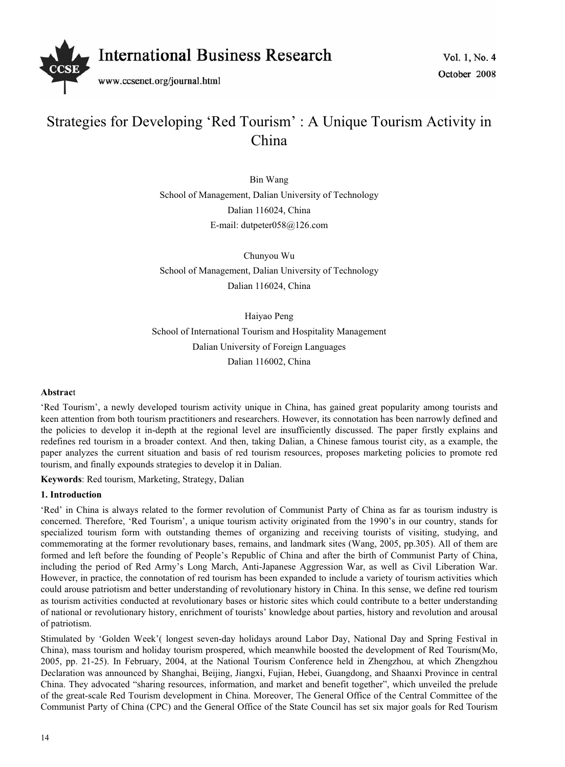

# Strategies for Developing 'Red Tourism' : A Unique Tourism Activity in China

Bin Wang School of Management, Dalian University of Technology Dalian 116024, China E-mail: dutpeter058@126.com

Chunyou Wu School of Management, Dalian University of Technology Dalian 116024, China

Haiyao Peng School of International Tourism and Hospitality Management Dalian University of Foreign Languages Dalian 116002, China

# **Abstrac**t

'Red Tourism', a newly developed tourism activity unique in China, has gained great popularity among tourists and keen attention from both tourism practitioners and researchers. However, its connotation has been narrowly defined and the policies to develop it in-depth at the regional level are insufficiently discussed. The paper firstly explains and redefines red tourism in a broader context. And then, taking Dalian, a Chinese famous tourist city, as a example, the paper analyzes the current situation and basis of red tourism resources, proposes marketing policies to promote red tourism, and finally expounds strategies to develop it in Dalian.

**Keywords**: Red tourism, Marketing, Strategy, Dalian

# **1. Introduction**

'Red' in China is always related to the former revolution of Communist Party of China as far as tourism industry is concerned. Therefore, 'Red Tourism', a unique tourism activity originated from the 1990's in our country, stands for specialized tourism form with outstanding themes of organizing and receiving tourists of visiting, studying, and commemorating at the former revolutionary bases, remains, and landmark sites (Wang, 2005, pp.305). All of them are formed and left before the founding of People's Republic of China and after the birth of Communist Party of China, including the period of Red Army's Long March, Anti-Japanese Aggression War, as well as Civil Liberation War. However, in practice, the connotation of red tourism has been expanded to include a variety of tourism activities which could arouse patriotism and better understanding of revolutionary history in China. In this sense, we define red tourism as tourism activities conducted at revolutionary bases or historic sites which could contribute to a better understanding of national or revolutionary history, enrichment of tourists' knowledge about parties, history and revolution and arousal of patriotism.

Stimulated by 'Golden Week'( longest seven-day holidays around Labor Day, National Day and Spring Festival in China), mass tourism and holiday tourism prospered, which meanwhile boosted the development of Red Tourism(Mo, 2005, pp. 21-25). In February, 2004, at the National Tourism Conference held in Zhengzhou, at which Zhengzhou Declaration was announced by Shanghai, Beijing, Jiangxi, Fujian, Hebei, Guangdong, and Shaanxi Province in central China. They advocated "sharing resources, information, and market and benefit together", which unveiled the prelude of the great-scale Red Tourism development in China. Moreover, The General Office of the Central Committee of the Communist Party of China (CPC) and the General Office of the State Council has set six major goals for Red Tourism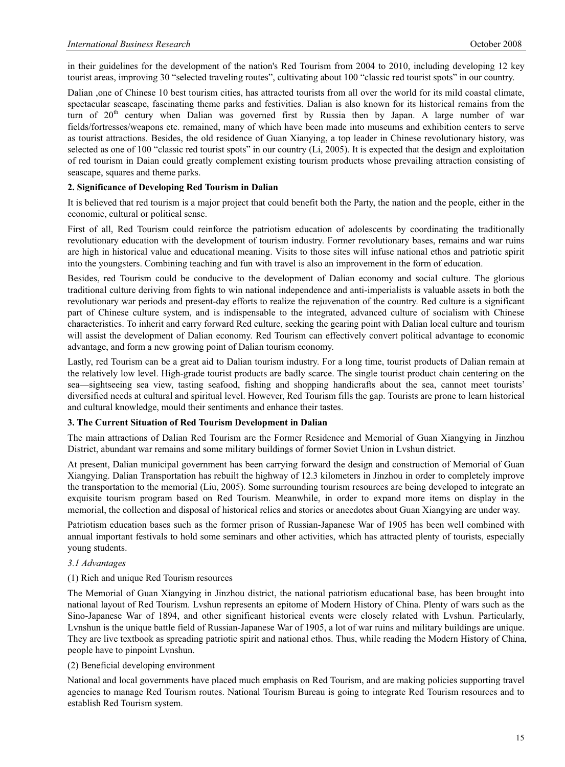in their guidelines for the development of the nation's Red Tourism from 2004 to 2010, including developing 12 key tourist areas, improving 30 "selected traveling routes", cultivating about 100 "classic red tourist spots" in our country.

Dalian ,one of Chinese 10 best tourism cities, has attracted tourists from all over the world for its mild coastal climate, spectacular seascape, fascinating theme parks and festivities. Dalian is also known for its historical remains from the turn of 20<sup>th</sup> century when Dalian was governed first by Russia then by Japan. A large number of war fields/fortresses/weapons etc. remained, many of which have been made into museums and exhibition centers to serve as tourist attractions. Besides, the old residence of Guan Xianying, a top leader in Chinese revolutionary history, was selected as one of 100 "classic red tourist spots" in our country (Li, 2005). It is expected that the design and exploitation of red tourism in Daian could greatly complement existing tourism products whose prevailing attraction consisting of seascape, squares and theme parks.

## **2. Significance of Developing Red Tourism in Dalian**

It is believed that red tourism is a major project that could benefit both the Party, the nation and the people, either in the economic, cultural or political sense.

First of all, Red Tourism could reinforce the patriotism education of adolescents by coordinating the traditionally revolutionary education with the development of tourism industry. Former revolutionary bases, remains and war ruins are high in historical value and educational meaning. Visits to those sites will infuse national ethos and patriotic spirit into the youngsters. Combining teaching and fun with travel is also an improvement in the form of education.

Besides, red Tourism could be conducive to the development of Dalian economy and social culture. The glorious traditional culture deriving from fights to win national independence and anti-imperialists is valuable assets in both the revolutionary war periods and present-day efforts to realize the rejuvenation of the country. Red culture is a significant part of Chinese culture system, and is indispensable to the integrated, advanced culture of socialism with Chinese characteristics. To inherit and carry forward Red culture, seeking the gearing point with Dalian local culture and tourism will assist the development of Dalian economy. Red Tourism can effectively convert political advantage to economic advantage, and form a new growing point of Dalian tourism economy.

Lastly, red Tourism can be a great aid to Dalian tourism industry. For a long time, tourist products of Dalian remain at the relatively low level. High-grade tourist products are badly scarce. The single tourist product chain centering on the sea—sightseeing sea view, tasting seafood, fishing and shopping handicrafts about the sea, cannot meet tourists' diversified needs at cultural and spiritual level. However, Red Tourism fills the gap. Tourists are prone to learn historical and cultural knowledge, mould their sentiments and enhance their tastes.

## **3. The Current Situation of Red Tourism Development in Dalian**

The main attractions of Dalian Red Tourism are the Former Residence and Memorial of Guan Xiangying in Jinzhou District, abundant war remains and some military buildings of former Soviet Union in Lvshun district.

At present, Dalian municipal government has been carrying forward the design and construction of Memorial of Guan Xiangying. Dalian Transportation has rebuilt the highway of 12.3 kilometers in Jinzhou in order to completely improve the transportation to the memorial (Liu, 2005). Some surrounding tourism resources are being developed to integrate an exquisite tourism program based on Red Tourism. Meanwhile, in order to expand more items on display in the memorial, the collection and disposal of historical relics and stories or anecdotes about Guan Xiangying are under way.

Patriotism education bases such as the former prison of Russian-Japanese War of 1905 has been well combined with annual important festivals to hold some seminars and other activities, which has attracted plenty of tourists, especially young students.

## *3.1 Advantages*

## (1) Rich and unique Red Tourism resources

The Memorial of Guan Xiangying in Jinzhou district, the national patriotism educational base, has been brought into national layout of Red Tourism. Lvshun represents an epitome of Modern History of China. Plenty of wars such as the Sino-Japanese War of 1894, and other significant historical events were closely related with Lvshun. Particularly, Lvnshun is the unique battle field of Russian-Japanese War of 1905, a lot of war ruins and military buildings are unique. They are live textbook as spreading patriotic spirit and national ethos. Thus, while reading the Modern History of China, people have to pinpoint Lvnshun.

## (2) Beneficial developing environment

National and local governments have placed much emphasis on Red Tourism, and are making policies supporting travel agencies to manage Red Tourism routes. National Tourism Bureau is going to integrate Red Tourism resources and to establish Red Tourism system.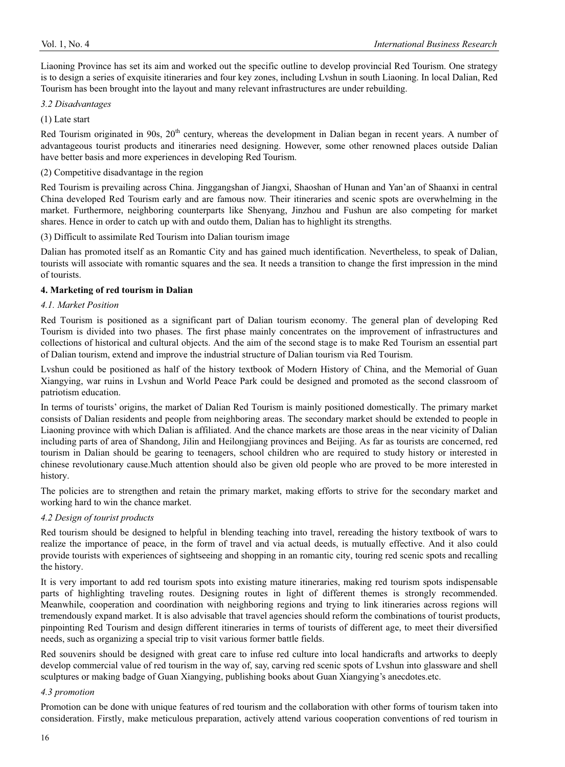Liaoning Province has set its aim and worked out the specific outline to develop provincial Red Tourism. One strategy is to design a series of exquisite itineraries and four key zones, including Lvshun in south Liaoning. In local Dalian, Red Tourism has been brought into the layout and many relevant infrastructures are under rebuilding.

## *3.2 Disadvantages*

(1) Late start

Red Tourism originated in 90s, 20<sup>th</sup> century, whereas the development in Dalian began in recent years. A number of advantageous tourist products and itineraries need designing. However, some other renowned places outside Dalian have better basis and more experiences in developing Red Tourism.

## (2) Competitive disadvantage in the region

Red Tourism is prevailing across China. Jinggangshan of Jiangxi, Shaoshan of Hunan and Yan'an of Shaanxi in central China developed Red Tourism early and are famous now. Their itineraries and scenic spots are overwhelming in the market. Furthermore, neighboring counterparts like Shenyang, Jinzhou and Fushun are also competing for market shares. Hence in order to catch up with and outdo them, Dalian has to highlight its strengths.

(3) Difficult to assimilate Red Tourism into Dalian tourism image

Dalian has promoted itself as an Romantic City and has gained much identification. Nevertheless, to speak of Dalian, tourists will associate with romantic squares and the sea. It needs a transition to change the first impression in the mind of tourists.

## **4. Marketing of red tourism in Dalian**

## *4.1. Market Position*

Red Tourism is positioned as a significant part of Dalian tourism economy. The general plan of developing Red Tourism is divided into two phases. The first phase mainly concentrates on the improvement of infrastructures and collections of historical and cultural objects. And the aim of the second stage is to make Red Tourism an essential part of Dalian tourism, extend and improve the industrial structure of Dalian tourism via Red Tourism.

Lvshun could be positioned as half of the history textbook of Modern History of China, and the Memorial of Guan Xiangying, war ruins in Lvshun and World Peace Park could be designed and promoted as the second classroom of patriotism education.

In terms of tourists' origins, the market of Dalian Red Tourism is mainly positioned domestically. The primary market consists of Dalian residents and people from neighboring areas. The secondary market should be extended to people in Liaoning province with which Dalian is affiliated. And the chance markets are those areas in the near vicinity of Dalian including parts of area of Shandong, Jilin and Heilongjiang provinces and Beijing. As far as tourists are concerned, red tourism in Dalian should be gearing to teenagers, school children who are required to study history or interested in chinese revolutionary cause.Much attention should also be given old people who are proved to be more interested in history.

The policies are to strengthen and retain the primary market, making efforts to strive for the secondary market and working hard to win the chance market.

# *4.2 Design of tourist products*

Red tourism should be designed to helpful in blending teaching into travel, rereading the history textbook of wars to realize the importance of peace, in the form of travel and via actual deeds, is mutually effective. And it also could provide tourists with experiences of sightseeing and shopping in an romantic city, touring red scenic spots and recalling the history.

It is very important to add red tourism spots into existing mature itineraries, making red tourism spots indispensable parts of highlighting traveling routes. Designing routes in light of different themes is strongly recommended. Meanwhile, cooperation and coordination with neighboring regions and trying to link itineraries across regions will tremendously expand market. It is also advisable that travel agencies should reform the combinations of tourist products, pinpointing Red Tourism and design different itineraries in terms of tourists of different age, to meet their diversified needs, such as organizing a special trip to visit various former battle fields.

Red souvenirs should be designed with great care to infuse red culture into local handicrafts and artworks to deeply develop commercial value of red tourism in the way of, say, carving red scenic spots of Lvshun into glassware and shell sculptures or making badge of Guan Xiangying, publishing books about Guan Xiangying's anecdotes.etc.

## *4.3 promotion*

Promotion can be done with unique features of red tourism and the collaboration with other forms of tourism taken into consideration. Firstly, make meticulous preparation, actively attend various cooperation conventions of red tourism in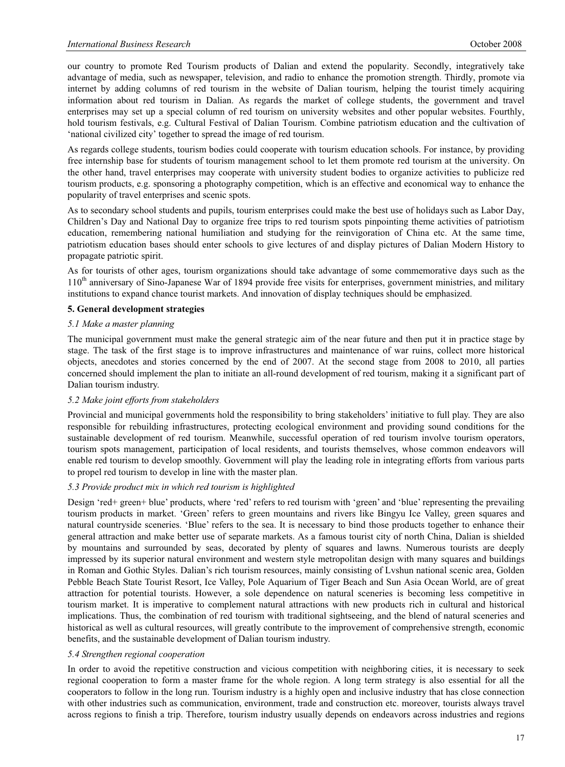our country to promote Red Tourism products of Dalian and extend the popularity. Secondly, integratively take advantage of media, such as newspaper, television, and radio to enhance the promotion strength. Thirdly, promote via internet by adding columns of red tourism in the website of Dalian tourism, helping the tourist timely acquiring information about red tourism in Dalian. As regards the market of college students, the government and travel enterprises may set up a special column of red tourism on university websites and other popular websites. Fourthly, hold tourism festivals, e.g. Cultural Festival of Dalian Tourism. Combine patriotism education and the cultivation of 'national civilized city' together to spread the image of red tourism.

As regards college students, tourism bodies could cooperate with tourism education schools. For instance, by providing free internship base for students of tourism management school to let them promote red tourism at the university. On the other hand, travel enterprises may cooperate with university student bodies to organize activities to publicize red tourism products, e.g. sponsoring a photography competition, which is an effective and economical way to enhance the popularity of travel enterprises and scenic spots.

As to secondary school students and pupils, tourism enterprises could make the best use of holidays such as Labor Day, Children's Day and National Day to organize free trips to red tourism spots pinpointing theme activities of patriotism education, remembering national humiliation and studying for the reinvigoration of China etc. At the same time, patriotism education bases should enter schools to give lectures of and display pictures of Dalian Modern History to propagate patriotic spirit.

As for tourists of other ages, tourism organizations should take advantage of some commemorative days such as the 110<sup>th</sup> anniversary of Sino-Japanese War of 1894 provide free visits for enterprises, government ministries, and military institutions to expand chance tourist markets. And innovation of display techniques should be emphasized.

# **5. General development strategies**

## *5.1 Make a master planning*

The municipal government must make the general strategic aim of the near future and then put it in practice stage by stage. The task of the first stage is to improve infrastructures and maintenance of war ruins, collect more historical objects, anecdotes and stories concerned by the end of 2007. At the second stage from 2008 to 2010, all parties concerned should implement the plan to initiate an all-round development of red tourism, making it a significant part of Dalian tourism industry.

## *5.2 Make joint efforts from stakeholders*

Provincial and municipal governments hold the responsibility to bring stakeholders' initiative to full play. They are also responsible for rebuilding infrastructures, protecting ecological environment and providing sound conditions for the sustainable development of red tourism. Meanwhile, successful operation of red tourism involve tourism operators, tourism spots management, participation of local residents, and tourists themselves, whose common endeavors will enable red tourism to develop smoothly. Government will play the leading role in integrating efforts from various parts to propel red tourism to develop in line with the master plan.

## *5.3 Provide product mix in which red tourism is highlighted*

Design 'red+ green+ blue' products, where 'red' refers to red tourism with 'green' and 'blue' representing the prevailing tourism products in market. 'Green' refers to green mountains and rivers like Bingyu Ice Valley, green squares and natural countryside sceneries. 'Blue' refers to the sea. It is necessary to bind those products together to enhance their general attraction and make better use of separate markets. As a famous tourist city of north China, Dalian is shielded by mountains and surrounded by seas, decorated by plenty of squares and lawns. Numerous tourists are deeply impressed by its superior natural environment and western style metropolitan design with many squares and buildings in Roman and Gothic Styles. Dalian's rich tourism resources, mainly consisting of Lvshun national scenic area, Golden Pebble Beach State Tourist Resort, Ice Valley, Pole Aquarium of Tiger Beach and Sun Asia Ocean World, are of great attraction for potential tourists. However, a sole dependence on natural sceneries is becoming less competitive in tourism market. It is imperative to complement natural attractions with new products rich in cultural and historical implications. Thus, the combination of red tourism with traditional sightseeing, and the blend of natural sceneries and historical as well as cultural resources, will greatly contribute to the improvement of comprehensive strength, economic benefits, and the sustainable development of Dalian tourism industry.

## *5.4 Strengthen regional cooperation*

In order to avoid the repetitive construction and vicious competition with neighboring cities, it is necessary to seek regional cooperation to form a master frame for the whole region. A long term strategy is also essential for all the cooperators to follow in the long run. Tourism industry is a highly open and inclusive industry that has close connection with other industries such as communication, environment, trade and construction etc. moreover, tourists always travel across regions to finish a trip. Therefore, tourism industry usually depends on endeavors across industries and regions